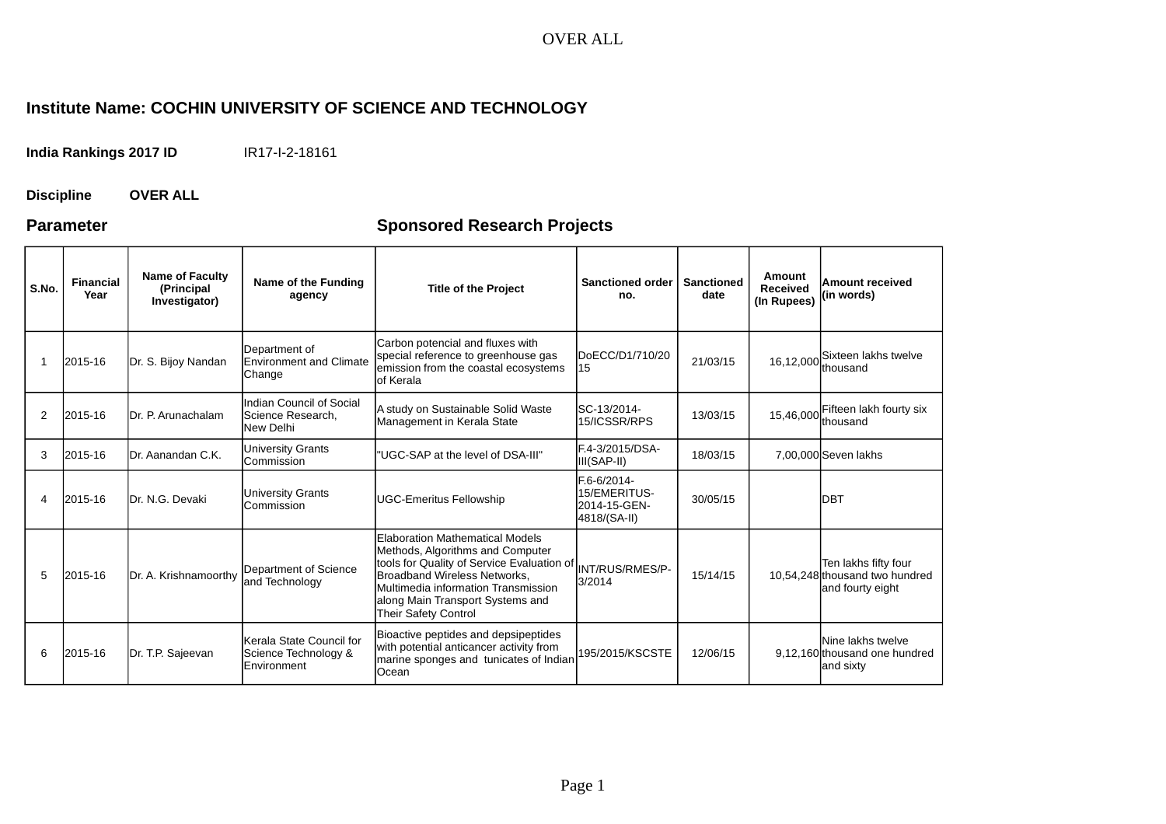#### **Institute Name: COCHIN UNIVERSITY OF SCIENCE AND TECHNOLOGY**

**India Rankings 2017 ID** IR17-I-2-18161

**Discipline OVER ALL**

#### **Parameter Sponsored Research Projects**

| S.No.       | <b>Financial</b><br>Year | <b>Name of Faculty</b><br>(Principal)<br>Investigator) | Name of the Funding<br>agency                                   | <b>Title of the Project</b>                                                                                                                                                                                                                                        | <b>Sanctioned order</b><br>no.                              | <b>Sanctioned</b><br>date | Amount<br><b>Received</b><br>(In Rupees) | Amount received<br>(in words)                                              |
|-------------|--------------------------|--------------------------------------------------------|-----------------------------------------------------------------|--------------------------------------------------------------------------------------------------------------------------------------------------------------------------------------------------------------------------------------------------------------------|-------------------------------------------------------------|---------------------------|------------------------------------------|----------------------------------------------------------------------------|
| $\mathbf 1$ | 2015-16                  | Dr. S. Bijoy Nandan                                    | Department of<br><b>Environment and Climate</b><br>Change       | Carbon potencial and fluxes with<br>special reference to greenhouse gas<br>emission from the coastal ecosystems<br>of Kerala                                                                                                                                       | DoECC/D1/710/20<br>15                                       | 21/03/15                  |                                          | 16,12,000 Sixteen lakhs twelve<br>Ithousand                                |
| 2           | 2015-16                  | Dr. P. Arunachalam                                     | Indian Council of Social<br>Science Research.<br>New Delhi      | A study on Sustainable Solid Waste<br>Management in Kerala State                                                                                                                                                                                                   | ISC-13/2014-<br>15/ICSSR/RPS                                | 13/03/15                  |                                          | 15,46,000 Fifteen lakh fourty six<br>Ithousand                             |
| 3           | 2015-16                  | Dr. Aanandan C.K.                                      | <b>University Grants</b><br>Commission                          | "UGC-SAP at the level of DSA-III"                                                                                                                                                                                                                                  | F.4-3/2015/DSA-<br>III(SAP-II)                              | 18/03/15                  |                                          | 7,00,000 Seven lakhs                                                       |
| Δ           | 2015-16                  | lDr. N.G. Devaki                                       | <b>University Grants</b><br>Commission                          | <b>UGC-Emeritus Fellowship</b>                                                                                                                                                                                                                                     | F.6-6/2014-<br>15/EMERITUS-<br>2014-15-GEN-<br>4818/(SA-II) | 30/05/15                  |                                          | <b>IDBT</b>                                                                |
| 5           | 2015-16                  | Dr. A. Krishnamoorthy                                  | Department of Science<br>and Technology                         | <b>Elaboration Mathematical Models</b><br>Methods, Algorithms and Computer<br>tools for Quality of Service Evaluation of<br><b>Broadband Wireless Networks.</b><br>Multimedia information Transmission<br>along Main Transport Systems and<br>Their Safety Control | INT/RUS/RMES/P-<br>3/2014                                   | 15/14/15                  |                                          | Ten lakhs fifty four<br>10,54,248 thousand two hundred<br>and fourty eight |
| 6           | 2015-16                  | Dr. T.P. Sajeevan                                      | Kerala State Council for<br>Science Technology &<br>Environment | Bioactive peptides and depsipeptides<br>with potential anticancer activity from<br>marine sponges and tunicates of Indian<br>Ocean                                                                                                                                 | 195/2015/KSCSTE                                             | 12/06/15                  |                                          | Nine lakhs twelve<br>9.12.160 thousand one hundred<br>and sixty            |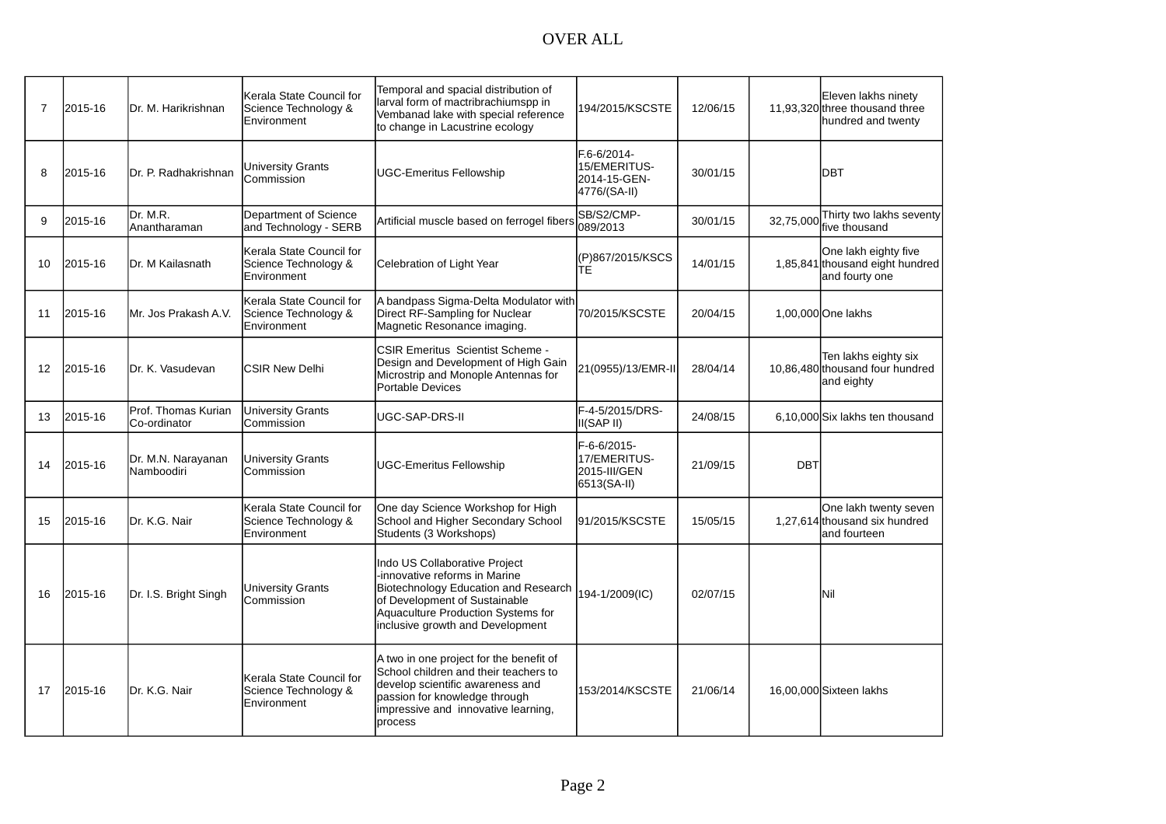| 7  | 2015-16 | Dr. M. Harikrishnan                 | Kerala State Council for<br>Science Technology &<br>Environment | Temporal and spacial distribution of<br>larval form of mactribrachiumspp in<br>Vembanad lake with special reference<br>to change in Lacustrine ecology                                                                   | 194/2015/KSCSTE                                             | 12/06/15 |            | Eleven lakhs ninety<br>11,93,320 three thousand three<br>hundred and twenty |
|----|---------|-------------------------------------|-----------------------------------------------------------------|--------------------------------------------------------------------------------------------------------------------------------------------------------------------------------------------------------------------------|-------------------------------------------------------------|----------|------------|-----------------------------------------------------------------------------|
| 8  | 2015-16 | Dr. P. Radhakrishnan                | University Grants<br>Commission                                 | <b>UGC-Emeritus Fellowship</b>                                                                                                                                                                                           | F.6-6/2014-<br>15/EMERITUS-<br>2014-15-GEN-<br>4776/(SA-II) | 30/01/15 |            | <b>DBT</b>                                                                  |
| 9  | 2015-16 | Dr. M.R.<br>Anantharaman            | Department of Science<br>and Technology - SERB                  | Artificial muscle based on ferrogel fibers                                                                                                                                                                               | SB/S2/CMP-<br>089/2013                                      | 30/01/15 | 32.75.000  | Thirty two lakhs seventy<br>five thousand                                   |
| 10 | 2015-16 | Dr. M Kailasnath                    | Kerala State Council for<br>Science Technology &<br>Environment | Celebration of Light Year                                                                                                                                                                                                | (P)867/2015/KSCS<br>TЕ                                      | 14/01/15 |            | One lakh eighty five<br>1,85,841 thousand eight hundred<br>and fourty one   |
| 11 | 2015-16 | Mr. Jos Prakash A.V.                | Kerala State Council for<br>Science Technology &<br>Environment | A bandpass Sigma-Delta Modulator with<br>Direct RF-Sampling for Nuclear<br>Magnetic Resonance imaging.                                                                                                                   | 70/2015/KSCSTE                                              | 20/04/15 |            | 1,00,000 One lakhs                                                          |
| 12 | 2015-16 | Dr. K. Vasudevan                    | <b>CSIR New Delhi</b>                                           | <b>CSIR Emeritus Scientist Scheme -</b><br>Design and Development of High Gain<br>Microstrip and Monople Antennas for<br><b>Portable Devices</b>                                                                         | 21(0955)/13/EMR-II                                          | 28/04/14 |            | Ten lakhs eighty six<br>10,86,480 thousand four hundred<br>and eighty       |
| 13 | 2015-16 | Prof. Thomas Kurian<br>Co-ordinator | <b>University Grants</b><br>Commission                          | UGC-SAP-DRS-II                                                                                                                                                                                                           | F-4-5/2015/DRS-<br>II(SAP II)                               | 24/08/15 |            | 6,10,000 Six lakhs ten thousand                                             |
| 14 | 2015-16 | Dr. M.N. Narayanan<br>Namboodiri    | <b>University Grants</b><br>Commission                          | <b>UGC-Emeritus Fellowship</b>                                                                                                                                                                                           | F-6-6/2015-<br>17/EMERITUS-<br>2015-III/GEN<br>6513(SA-II)  | 21/09/15 | <b>DBT</b> |                                                                             |
| 15 | 2015-16 | Dr. K.G. Nair                       | Kerala State Council for<br>Science Technology &<br>Environment | One day Science Workshop for High<br>School and Higher Secondary School<br>Students (3 Workshops)                                                                                                                        | 91/2015/KSCSTE                                              | 15/05/15 |            | One lakh twenty seven<br>1.27.614 thousand six hundred<br>and fourteen      |
| 16 | 2015-16 | Dr. I.S. Bright Singh               | University Grants<br>Commission                                 | Indo US Collaborative Project<br>-innovative reforms in Marine<br><b>Biotechnology Education and Research</b><br>of Development of Sustainable<br>Aquaculture Production Systems for<br>inclusive growth and Development | 194-1/2009(IC)                                              | 02/07/15 |            | Nil                                                                         |
| 17 | 2015-16 | Dr. K.G. Nair                       | Kerala State Council for<br>Science Technology &<br>Environment | A two in one project for the benefit of<br>School children and their teachers to<br>develop scientific awareness and<br>passion for knowledge through<br>impressive and innovative learning,<br>process                  | 153/2014/KSCSTE                                             | 21/06/14 |            | 16,00,000 Sixteen lakhs                                                     |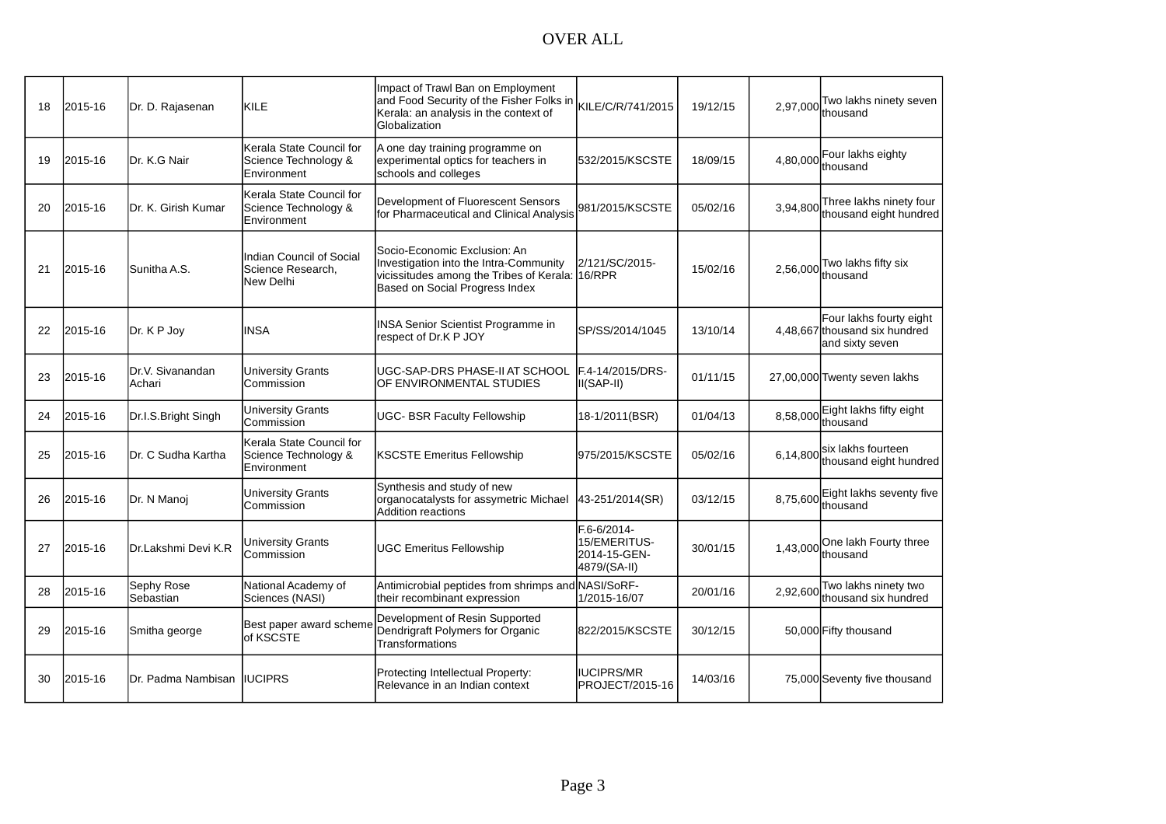| 18 | 2015-16 | Dr. D. Rajasenan               | <b>KILE</b>                                                     | Impact of Trawl Ban on Employment<br>and Food Security of the Fisher Folks in<br>Kerala: an analysis in the context of<br>Globalization                     | KILE/C/R/741/2015                                                | 19/12/15 | 2,97,000 | Two lakhs ninety seven<br>thousand                                          |
|----|---------|--------------------------------|-----------------------------------------------------------------|-------------------------------------------------------------------------------------------------------------------------------------------------------------|------------------------------------------------------------------|----------|----------|-----------------------------------------------------------------------------|
| 19 | 2015-16 | IDr. K.G Nair                  | Kerala State Council for<br>Science Technology &<br>Environment | A one day training programme on<br>experimental optics for teachers in<br>schools and colleges                                                              | 532/2015/KSCSTE                                                  | 18/09/15 | 4,80,000 | Four lakhs eighty<br>thousand                                               |
| 20 | 2015-16 | IDr. K. Girish Kumar           | Kerala State Council for<br>Science Technology &<br>Environment | Development of Fluorescent Sensors<br>for Pharmaceutical and Clinical Analysis 981/2015/KSCSTE                                                              |                                                                  | 05/02/16 | 3.94.800 | Three lakhs ninety four<br>thousand eight hundred                           |
| 21 | 2015-16 | lSunitha A.S.                  | Indian Council of Social<br>Science Research,<br>New Delhi      | Socio-Economic Exclusion: An<br>Investigation into the Intra-Community<br>vicissitudes among the Tribes of Kerala: 16/RPR<br>Based on Social Progress Index | 2/121/SC/2015-                                                   | 15/02/16 | 2,56,000 | Two lakhs fifty six<br>thousand                                             |
| 22 | 2015-16 | Dr. K P Joy                    | INSA                                                            | <b>INSA Senior Scientist Programme in</b><br>respect of Dr.K P JOY                                                                                          | SP/SS/2014/1045                                                  | 13/10/14 |          | Four lakhs fourty eight<br>4,48,667 thousand six hundred<br>and sixty seven |
| 23 | 2015-16 | Dr.V. Sivanandan<br>Achari     | University Grants<br>Commission                                 | UGC-SAP-DRS PHASE-II AT SCHOOL<br>OF ENVIRONMENTAL STUDIES                                                                                                  | F.4-14/2015/DRS-<br>$II(SAP-II)$                                 | 01/11/15 |          | 27,00,000 Twenty seven lakhs                                                |
| 24 | 2015-16 | Dr.I.S.Bright Singh            | <b>University Grants</b><br>Commission                          | <b>UGC- BSR Faculty Fellowship</b>                                                                                                                          | 18-1/2011(BSR)                                                   | 01/04/13 | 8,58,000 | Eight lakhs fifty eight<br>thousand                                         |
| 25 | 2015-16 | IDr. C Sudha Kartha            | Kerala State Council for<br>Science Technology &<br>Environment | <b>KSCSTE Emeritus Fellowship</b>                                                                                                                           | 975/2015/KSCSTE                                                  | 05/02/16 | 6.14.800 | six lakhs fourteen<br>thousand eight hundred                                |
| 26 | 2015-16 | Dr. N Manoj                    | <b>University Grants</b><br>Commission                          | Synthesis and study of new<br>organocatalysts for assymetric Michael<br><b>Addition reactions</b>                                                           | 43-251/2014(SR)                                                  | 03/12/15 | 8,75,600 | Eight lakhs seventy five<br>thousand                                        |
| 27 | 2015-16 | Dr.Lakshmi Devi K.R            | University Grants<br>Commission                                 | <b>UGC Emeritus Fellowship</b>                                                                                                                              | $F.6 - 6/2014 -$<br>15/EMERITUS-<br>2014-15-GEN-<br>4879/(SA-II) | 30/01/15 | 1.43.000 | One lakh Fourty three<br>thousand                                           |
| 28 | 2015-16 | Sephy Rose<br><b>Sebastian</b> | National Academy of<br>Sciences (NASI)                          | Antimicrobial peptides from shrimps and NASI/SoRF-<br>their recombinant expression                                                                          | 1/2015-16/07                                                     | 20/01/16 | 2,92,600 | Two lakhs ninety two<br>thousand six hundred                                |
| 29 | 2015-16 | Smitha george                  | Best paper award scheme<br>of KSCSTE                            | Development of Resin Supported<br>Dendrigraft Polymers for Organic<br>Transformations                                                                       | 822/2015/KSCSTE                                                  | 30/12/15 |          | 50,000 Fifty thousand                                                       |
| 30 | 2015-16 | lDr. Padma Nambisan            | <b>IUCIPRS</b>                                                  | Protecting Intellectual Property:<br>Relevance in an Indian context                                                                                         | <b>IUCIPRS/MR</b><br>PROJECT/2015-16                             | 14/03/16 |          | 75,000 Seventy five thousand                                                |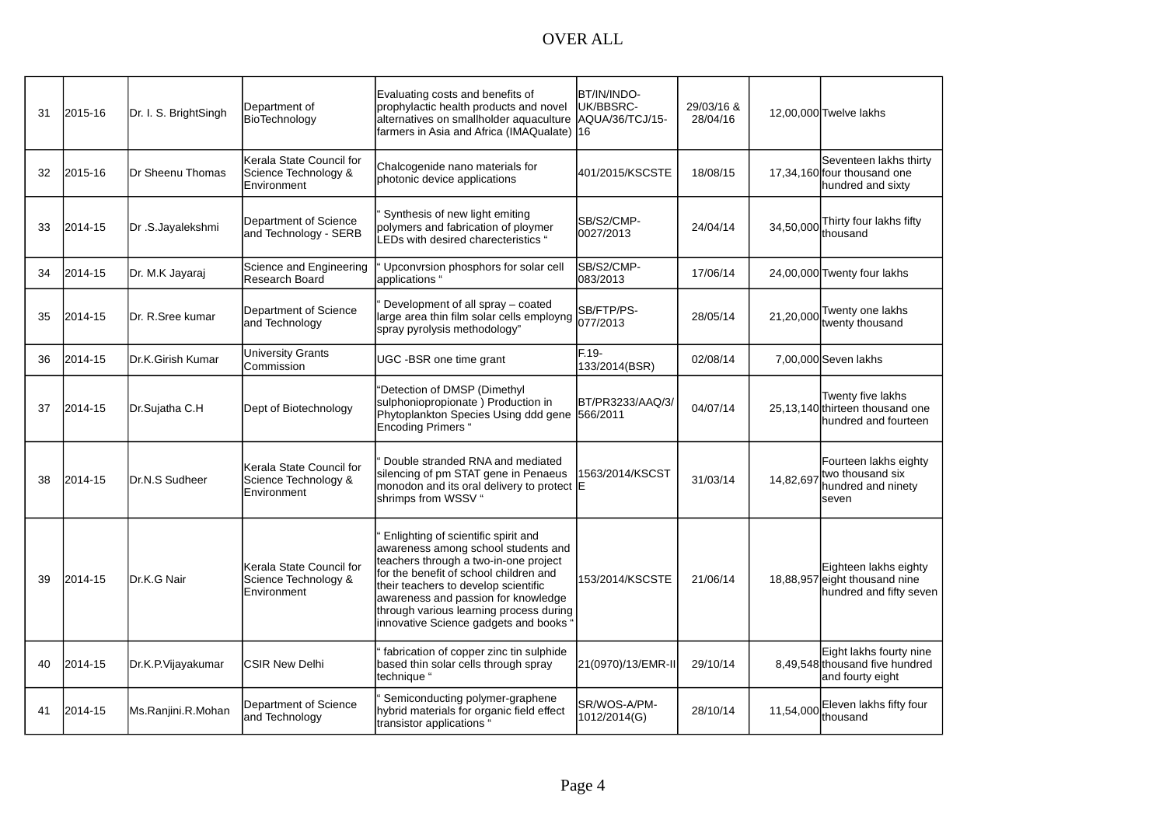| 31 | 2015-16 | Dr. I. S. BrightSingh | Department of<br>BioTechnology                                  | Evaluating costs and benefits of<br>prophylactic health products and novel<br>alternatives on smallholder aquaculture<br>farmers in Asia and Africa (IMAQualate) 16                                                                                                                                                               | BT/IN/INDO-<br>UK/BBSRC-<br>AQUA/36/TCJ/15- | 29/03/16 &<br>28/04/16 |           | 12,00,000 Twelve lakhs                                                            |
|----|---------|-----------------------|-----------------------------------------------------------------|-----------------------------------------------------------------------------------------------------------------------------------------------------------------------------------------------------------------------------------------------------------------------------------------------------------------------------------|---------------------------------------------|------------------------|-----------|-----------------------------------------------------------------------------------|
| 32 | 2015-16 | Dr Sheenu Thomas      | Kerala State Council for<br>Science Technology &<br>Environment | Chalcogenide nano materials for<br>photonic device applications                                                                                                                                                                                                                                                                   | 401/2015/KSCSTE                             | 18/08/15               |           | Seventeen lakhs thirty<br>17,34,160 four thousand one<br>hundred and sixty        |
| 33 | 2014-15 | Dr .S.Jayalekshmi     | Department of Science<br>and Technology - SERB                  | Synthesis of new light emiting<br>polymers and fabrication of ploymer<br>LEDs with desired charecteristics "                                                                                                                                                                                                                      | SB/S2/CMP-<br>0027/2013                     | 24/04/14               | 34,50,000 | Thirty four lakhs fifty<br>thousand                                               |
| 34 | 2014-15 | Dr. M.K Jayaraj       | Science and Engineering<br>Research Board                       | Upconvrsion phosphors for solar cell<br>applications "                                                                                                                                                                                                                                                                            | SB/S2/CMP-<br>083/2013                      | 17/06/14               |           | 24,00,000 Twenty four lakhs                                                       |
| 35 | 2014-15 | Dr. R.Sree kumar      | Department of Science<br>and Technology                         | Development of all spray - coated<br>large area thin film solar cells employng<br>spray pyrolysis methodology"                                                                                                                                                                                                                    | SB/FTP/PS-<br>077/2013                      | 28/05/14               | 21,20,000 | Twenty one lakhs<br>twenty thousand                                               |
| 36 | 2014-15 | Dr.K.Girish Kumar     | University Grants<br>Commission                                 | UGC -BSR one time grant                                                                                                                                                                                                                                                                                                           | $F.19 -$<br>133/2014(BSR)                   | 02/08/14               |           | 7,00,000 Seven lakhs                                                              |
| 37 | 2014-15 | Dr.Sujatha C.H        | Dept of Biotechnology                                           | "Detection of DMSP (Dimethyl<br>sulphoniopropionate) Production in<br>Phytoplankton Species Using ddd gene 566/2011<br>Encoding Primers "                                                                                                                                                                                         | BT/PR3233/AAO/3/                            | 04/07/14               |           | Twenty five lakhs<br>25,13,140 thirteen thousand one<br>hundred and fourteen      |
| 38 | 2014-15 | Dr.N.S Sudheer        | Kerala State Council for<br>Science Technology &<br>Environment | Double stranded RNA and mediated<br>silencing of pm STAT gene in Penaeus<br>monodon and its oral delivery to protect E<br>shrimps from WSSV "                                                                                                                                                                                     | 1563/2014/KSCST                             | 31/03/14               | 14,82,69  | Fourteen lakhs eighty<br>two thousand six<br>hundred and ninety<br>seven          |
| 39 | 2014-15 | Dr.K.G Nair           | Kerala State Council for<br>Science Technology &<br>Environment | Enlighting of scientific spirit and<br>awareness among school students and<br>teachers through a two-in-one project<br>for the benefit of school children and<br>their teachers to develop scientific<br>awareness and passion for knowledge<br>through various learning process during<br>innovative Science gadgets and books ' | 153/2014/KSCSTE                             | 21/06/14               |           | Eighteen lakhs eighty<br>18,88,957 eight thousand nine<br>hundred and fifty seven |
| 40 | 2014-15 | Dr.K.P.Vijayakumar    | <b>CSIR New Delhi</b>                                           | fabrication of copper zinc tin sulphide<br>based thin solar cells through spray<br>technique "                                                                                                                                                                                                                                    | 21(0970)/13/EMR-II                          | 29/10/14               |           | Eight lakhs fourty nine<br>8,49,548 thousand five hundred<br>and fourty eight     |
| 41 | 2014-15 | Ms.Ranjini.R.Mohan    | Department of Science<br>and Technology                         | Semiconducting polymer-graphene<br>hybrid materials for organic field effect<br>transistor applications "                                                                                                                                                                                                                         | SR/WOS-A/PM-<br>1012/2014(G)                | 28/10/14               | 11,54,000 | Eleven lakhs fifty four<br>thousand                                               |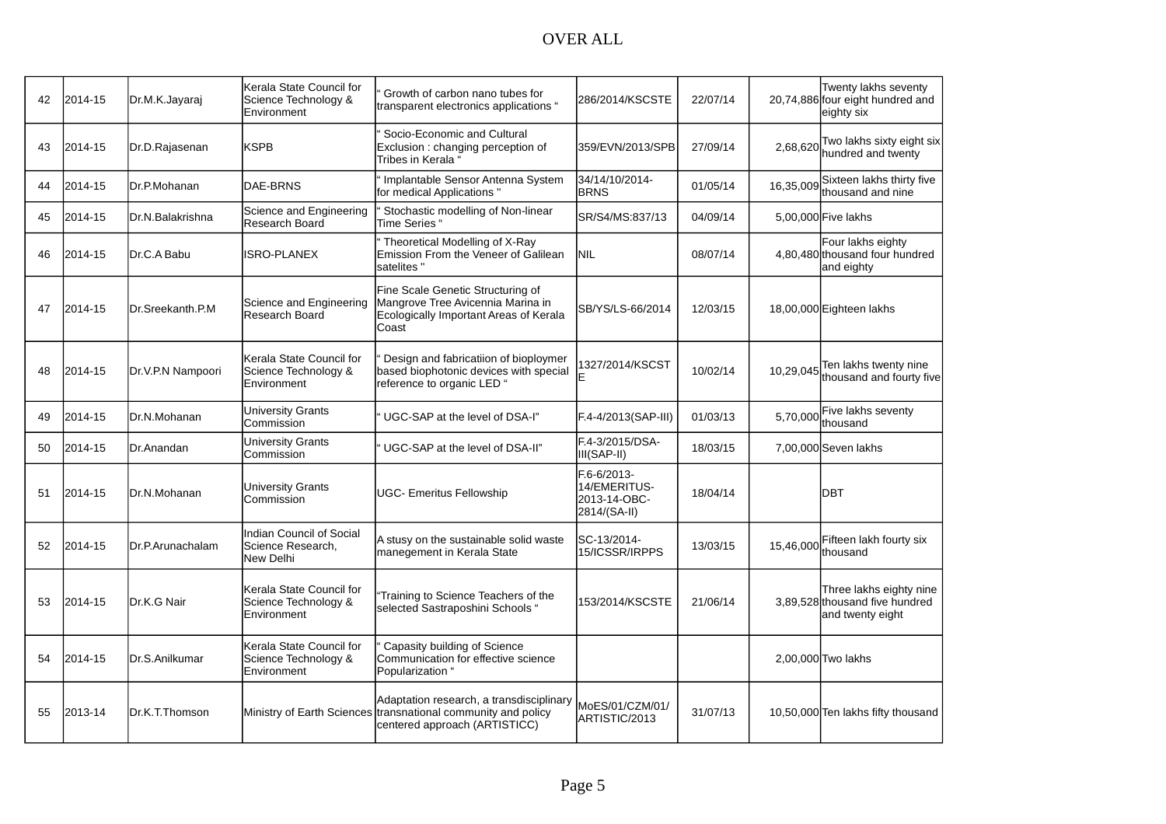| 42 | 2014-15 | Dr.M.K.Jayaraj    | Kerala State Council for<br>Science Technology &<br>Environment | Growth of carbon nano tubes for<br>transparent electronics applications "                                                                  | 286/2014/KSCSTE                                             | 22/07/14 |           | Twenty lakhs seventy<br>20,74,886 four eight hundred and<br>eighty six        |
|----|---------|-------------------|-----------------------------------------------------------------|--------------------------------------------------------------------------------------------------------------------------------------------|-------------------------------------------------------------|----------|-----------|-------------------------------------------------------------------------------|
| 43 | 2014-15 | Dr.D.Rajasenan    | <b>KSPB</b>                                                     | Socio-Economic and Cultural<br>Exclusion : changing perception of<br>Tribes in Kerala "                                                    | 359/EVN/2013/SPB                                            | 27/09/14 | 2,68,620  | Two lakhs sixty eight six<br>hundred and twenty                               |
| 44 | 2014-15 | Dr.P.Mohanan      | DAE-BRNS                                                        | Implantable Sensor Antenna System<br>for medical Applications "                                                                            | 34/14/10/2014-<br><b>BRNS</b>                               | 01/05/14 | 16,35,009 | Sixteen lakhs thirty five<br>thousand and nine                                |
| 45 | 2014-15 | Dr.N.Balakrishna  | Science and Engineering<br>Research Board                       | Stochastic modelling of Non-linear<br>Time Series "                                                                                        | SR/S4/MS:837/13                                             | 04/09/14 |           | 5,00,000 Five lakhs                                                           |
| 46 | 2014-15 | Dr.C.A Babu       | <b>ISRO-PLANEX</b>                                              | Theoretical Modelling of X-Ray<br>Emission From the Veneer of Galilean<br>satelites"                                                       | Inil                                                        | 08/07/14 |           | Four lakhs eighty<br>4,80,480 thousand four hundred<br>and eighty             |
| 47 | 2014-15 | Dr.Sreekanth.P.M  | Science and Engineering<br>Research Board                       | Fine Scale Genetic Structuring of<br>Mangrove Tree Avicennia Marina in<br>Ecologically Important Areas of Kerala<br>Coast                  | SB/YS/LS-66/2014                                            | 12/03/15 |           | 18,00,000 Eighteen lakhs                                                      |
| 48 | 2014-15 | Dr.V.P.N Nampoori | Kerala State Council for<br>Science Technology &<br>Environment | Design and fabricatiion of bioploymer<br>based biophotonic devices with special<br>reference to organic LED "                              | 1327/2014/KSCST                                             | 10/02/14 | 10,29,045 | Ten lakhs twenty nine<br>thousand and fourty five                             |
| 49 | 2014-15 | Dr.N.Mohanan      | <b>University Grants</b><br>Commission                          | UGC-SAP at the level of DSA-I"                                                                                                             | F.4-4/2013(SAP-III)                                         | 01/03/13 | 5,70,000  | Five lakhs seventy<br>thousand                                                |
| 50 | 2014-15 | Dr.Anandan        | <b>University Grants</b><br>Commission                          | UGC-SAP at the level of DSA-II"                                                                                                            | F.4-3/2015/DSA-<br>III(SAP-II)                              | 18/03/15 |           | 7,00,000 Seven lakhs                                                          |
| 51 | 2014-15 | Dr.N.Mohanan      | <b>University Grants</b><br>Commission                          | UGC- Emeritus Fellowship                                                                                                                   | F.6-6/2013-<br>14/EMERITUS-<br>2013-14-OBC-<br>2814/(SA-II) | 18/04/14 |           | <b>DBT</b>                                                                    |
| 52 | 2014-15 | Dr.P.Arunachalam  | Indian Council of Social<br>Science Research,<br>New Delhi      | A stusy on the sustainable solid waste<br>manegement in Kerala State                                                                       | SC-13/2014-<br>15/ICSSR/IRPPS                               | 13/03/15 | 15,46,000 | Fifteen lakh fourty six<br>thousand                                           |
| 53 | 2014-15 | Dr.K.G Nair       | Kerala State Council for<br>Science Technology &<br>Environment | "Training to Science Teachers of the<br>selected Sastraposhini Schools "                                                                   | 153/2014/KSCSTE                                             | 21/06/14 |           | Three lakhs eighty nine<br>3,89,528 thousand five hundred<br>and twenty eight |
| 54 | 2014-15 | Dr.S.Anilkumar    | Kerala State Council for<br>Science Technology &<br>Environment | Capasity building of Science<br>Communication for effective science<br>Popularization "                                                    |                                                             |          |           | 2,00,000 Two lakhs                                                            |
| 55 | 2013-14 | Dr.K.T.Thomson    |                                                                 | Adaptation research, a transdisciplinary<br>Ministry of Earth Sciences transnational community and policy<br>centered approach (ARTISTICC) | MoES/01/CZM/01/<br>ARTISTIC/2013                            | 31/07/13 |           | 10,50,000 Ten lakhs fifty thousand                                            |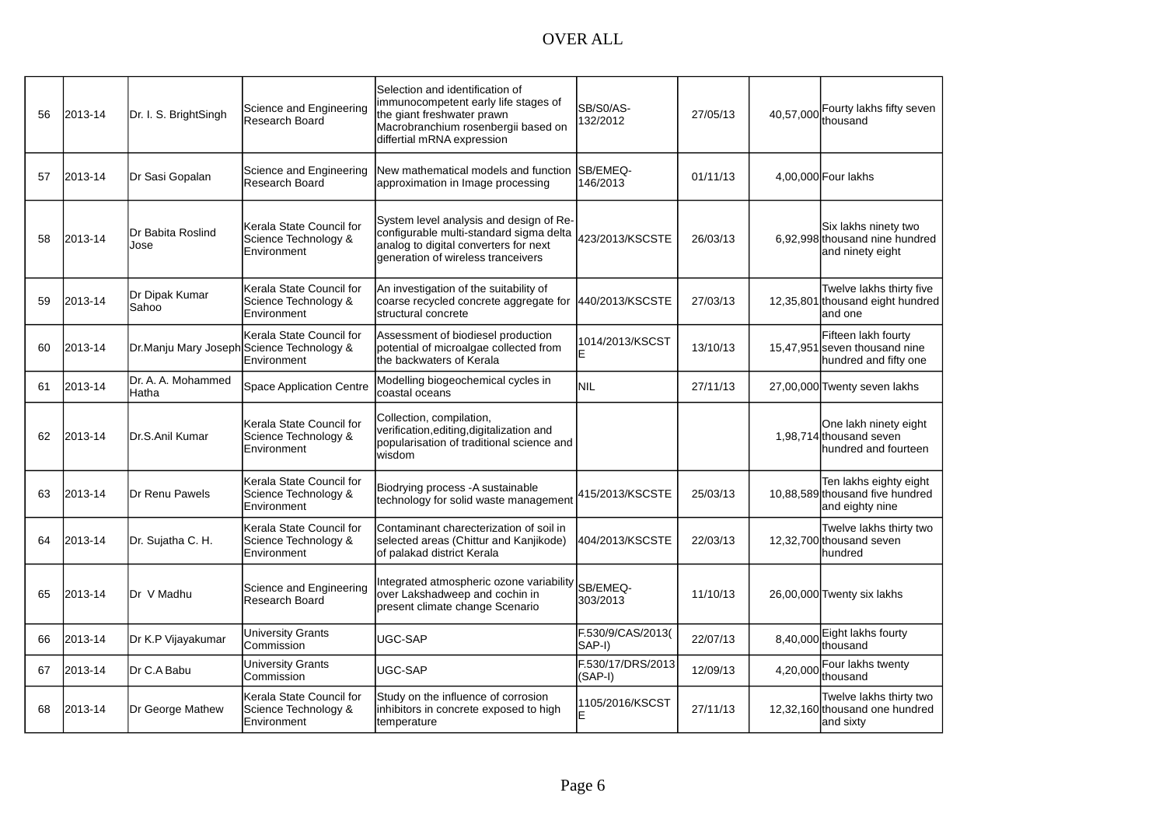| 56 | 2013-14 | Dr. I. S. BrightSingh                     | Science and Engineering<br>Research Board                       | Selection and identification of<br>immunocompetent early life stages of<br>the giant freshwater prawn<br>Macrobranchium rosenbergii based on<br>differtial mRNA expression | SB/S0/AS-<br>132/2012          | 27/05/13 | 40,57,000 Fourty lakhs fifty seven<br>thousand                                |
|----|---------|-------------------------------------------|-----------------------------------------------------------------|----------------------------------------------------------------------------------------------------------------------------------------------------------------------------|--------------------------------|----------|-------------------------------------------------------------------------------|
| 57 | 2013-14 | Dr Sasi Gopalan                           | Science and Engineering<br>Research Board                       | New mathematical models and function<br>approximation in Image processing                                                                                                  | <b>SB/EMEQ-</b><br>146/2013    | 01/11/13 | 4,00,000 Four lakhs                                                           |
| 58 | 2013-14 | Dr Babita Roslind<br>Jose                 | Kerala State Council for<br>Science Technology &<br>Environment | System level analysis and design of Re-<br>configurable multi-standard sigma delta<br>analog to digital converters for next<br>generation of wireless tranceivers          | 423/2013/KSCSTE                | 26/03/13 | Six lakhs ninety two<br>6,92,998 thousand nine hundred<br>and ninety eight    |
| 59 | 2013-14 | Dr Dipak Kumar<br>Sahoo                   | Kerala State Council for<br>Science Technology &<br>Environment | An investigation of the suitability of<br>coarse recycled concrete aggregate for<br>structural concrete                                                                    | 440/2013/KSCSTE                | 27/03/13 | Twelve lakhs thirty five<br>12,35,801 thousand eight hundred<br>land one      |
| 60 | 2013-14 | Dr.Manju Mary Joseph Science Technology & | Kerala State Council for<br>Environment                         | Assessment of biodiesel production<br>potential of microalgae collected from<br>the backwaters of Kerala                                                                   | 1014/2013/KSCST<br>Ε           | 13/10/13 | Fifteen lakh fourty<br>15,47,951 seven thousand nine<br>hundred and fifty one |
| 61 | 2013-14 | Dr. A. A. Mohammed<br>Hatha               | <b>Space Application Centre</b>                                 | Modelling biogeochemical cycles in<br>coastal oceans                                                                                                                       | <b>NIL</b>                     | 27/11/13 | 27,00,000 Twenty seven lakhs                                                  |
| 62 | 2013-14 | Dr.S.Anil Kumar                           | Kerala State Council for<br>Science Technology &<br>Environment | Collection, compilation,<br>verification, editing, digitalization and<br>popularisation of traditional science and<br>wisdom                                               |                                |          | One lakh ninety eight<br>1,98,714 thousand seven<br>hundred and fourteen      |
| 63 | 2013-14 | Dr Renu Pawels                            | Kerala State Council for<br>Science Technology &<br>Environment | Biodrying process - A sustainable<br>technology for solid waste management                                                                                                 | 415/2013/KSCSTE                | 25/03/13 | Ten lakhs eighty eight<br>10,88,589 thousand five hundred<br>and eighty nine  |
| 64 | 2013-14 | Dr. Sujatha C. H.                         | Kerala State Council for<br>Science Technology &<br>Environment | Contaminant charecterization of soil in<br>selected areas (Chittur and Kanjikode)<br>of palakad district Kerala                                                            | 404/2013/KSCSTE                | 22/03/13 | Twelve lakhs thirty two<br>12,32,700 thousand seven<br>Ihundred               |
| 65 | 2013-14 | Dr V Madhu                                | Science and Engineering<br>Research Board                       | Integrated atmospheric ozone variability<br>over Lakshadweep and cochin in<br>present climate change Scenario                                                              | SB/EMEO-<br>303/2013           | 11/10/13 | 26,00,000 Twenty six lakhs                                                    |
| 66 | 2013-14 | Dr K.P Vijayakumar                        | University Grants<br>Commission                                 | UGC-SAP                                                                                                                                                                    | F.530/9/CAS/2013(<br>SAP-I)    | 22/07/13 | 8,40,000 Eight lakhs fourty<br>thousand                                       |
| 67 | 2013-14 | Dr C.A Babu                               | University Grants<br>Commission                                 | UGC-SAP                                                                                                                                                                    | F.530/17/DRS/2013<br>$(SAP-I)$ | 12/09/13 | 4,20,000 Four lakhs twenty<br>thousand                                        |
| 68 | 2013-14 | Dr George Mathew                          | Kerala State Council for<br>Science Technology &<br>Environment | Study on the influence of corrosion<br>inhibitors in concrete exposed to high<br>temperature                                                                               | 1105/2016/KSCST<br>E           | 27/11/13 | Twelve lakhs thirty two<br>12,32,160 thousand one hundred<br>and sixty        |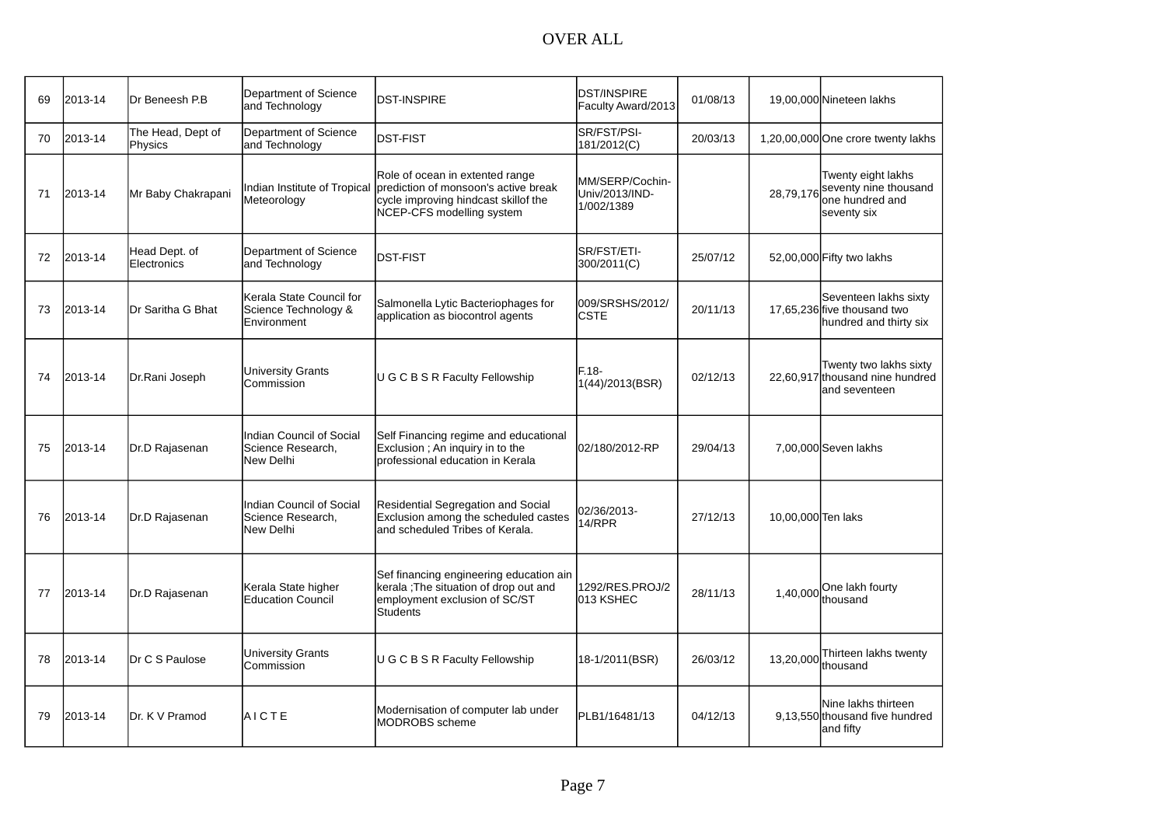| 69 | 2013-14 | Dr Beneesh P.B               | Department of Science<br>and Technology                         | <b>DST-INSPIRE</b>                                                                                                                           | <b>DST/INSPIRE</b><br>Faculty Award/2013        | 01/08/13 |                            | 19,00,000 Nineteen lakhs                                                                |
|----|---------|------------------------------|-----------------------------------------------------------------|----------------------------------------------------------------------------------------------------------------------------------------------|-------------------------------------------------|----------|----------------------------|-----------------------------------------------------------------------------------------|
| 70 | 2013-14 | The Head, Dept of<br>Physics | Department of Science<br>and Technology                         | <b>DST-FIST</b>                                                                                                                              | SR/FST/PSI-<br>181/2012(C)                      | 20/03/13 |                            | 1,20,00,000 One crore twenty lakhs                                                      |
| 71 | 2013-14 | Mr Baby Chakrapani           | Indian Institute of Tropical<br>Meteorology                     | Role of ocean in extented range<br>prediction of monsoon's active break<br>cycle improving hindcast skillof the<br>NCEP-CFS modelling system | MM/SERP/Cochin-<br>Univ/2013/IND-<br>1/002/1389 |          |                            | Twenty eight lakhs<br>28,79,176 seventy nine thousand<br>one hundred and<br>seventy six |
| 72 | 2013-14 | Head Dept. of<br>Electronics | Department of Science<br>and Technology                         | <b>DST-FIST</b>                                                                                                                              | SR/FST/ETI-<br>300/2011(C)                      | 25/07/12 |                            | 52,00,000 Fifty two lakhs                                                               |
| 73 | 2013-14 | Dr Saritha G Bhat            | Kerala State Council for<br>Science Technology &<br>Environment | Salmonella Lytic Bacteriophages for<br>application as biocontrol agents                                                                      | 009/SRSHS/2012/<br><b>CSTE</b>                  | 20/11/13 |                            | Seventeen lakhs sixty<br>17,65,236 five thousand two<br>hundred and thirty six          |
| 74 | 2013-14 | Dr.Rani Joseph               | <b>University Grants</b><br>Commission                          | U G C B S R Faculty Fellowship                                                                                                               | $F.18-$<br>1(44)/2013(BSR)                      | 02/12/13 |                            | Twenty two lakhs sixty<br>22,60,917 thousand nine hundred<br>and seventeen              |
| 75 | 2013-14 | Dr.D Rajasenan               | Indian Council of Social<br>Science Research,<br>New Delhi      | Self Financing regime and educational<br>Exclusion ; An inquiry in to the<br>Iprofessional education in Kerala                               | 02/180/2012-RP                                  | 29/04/13 |                            | 7,00,000 Seven lakhs                                                                    |
| 76 | 2013-14 | Dr.D Rajasenan               | Indian Council of Social<br>Science Research,<br>New Delhi      | Residential Segregation and Social<br>Exclusion among the scheduled castes<br>and scheduled Tribes of Kerala.                                | 02/36/2013-<br><b>14/RPR</b>                    | 27/12/13 | 10,00,000 Ten laks         |                                                                                         |
| 77 | 2013-14 | Dr.D Rajasenan               | Kerala State higher<br><b>Education Council</b>                 | Sef financing engineering education ain<br>kerala ; The situation of drop out and<br>employment exclusion of SC/ST<br><b>Students</b>        | 1292/RES.PROJ/2<br>013 KSHEC                    | 28/11/13 |                            | 1,40,000 One lakh fourty                                                                |
| 78 | 2013-14 | Dr C S Paulose               | University Grants<br>Commission                                 | U G C B S R Faculty Fellowship                                                                                                               | 18-1/2011(BSR)                                  | 26/03/12 | 13,20,000 $\Big $ thousand | Thirteen lakhs twenty                                                                   |
| 79 | 2013-14 | Dr. K V Pramod               | AICTE                                                           | Modernisation of computer lab under<br>MODROBS scheme                                                                                        | PLB1/16481/13                                   | 04/12/13 |                            | Nine lakhs thirteen<br>9,13,550 thousand five hundred<br>and fifty                      |